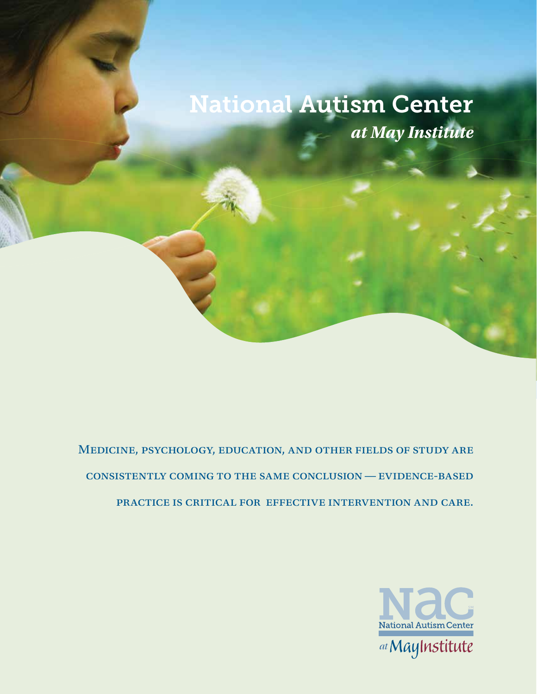# National Autism Center *at May Institute*

Medicine, psychology, education, and other fields of study are consistently coming to the same conclusion—evidence-based practice is critical for effective intervention and care.

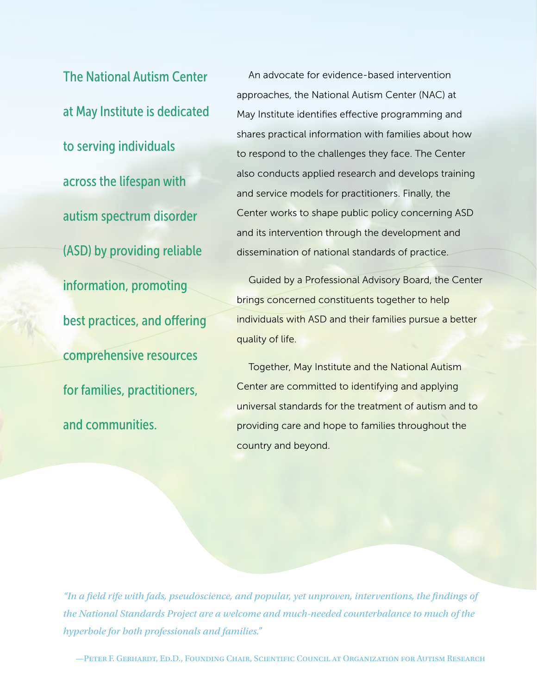The National Autism Center at May Institute is dedicated to serving individuals across the lifespan with autism spectrum disorder (ASD) by providing reliable information, promoting best practices, and offering comprehensive resources for families, practitioners, and communities.

An advocate for evidence-based intervention approaches, the National Autism Center (NAC) at May Institute identifies effective programming and shares practical information with families about how to respond to the challenges they face. The Center also conducts applied research and develops training and service models for practitioners. Finally, the Center works to shape public policy concerning ASD and its intervention through the development and dissemination of national standards of practice.

Guided by a Professional Advisory Board, the Center brings concerned constituents together to help individuals with ASD and their families pursue a better quality of life.

Together, May Institute and the National Autism Center are committed to identifying and applying universal standards for the treatment of autism and to providing care and hope to families throughout the country and beyond.

*"In a field rife with fads, pseudoscience, and popular, yet unproven, interventions, the findings of the National Standards Project are a welcome and much-needed counterbalance to much of the hyperbole for both professionals and families."*

—Peter F. Gerhardt, Ed.D., Founding Chair, Scientific Council at Organization for Autism Research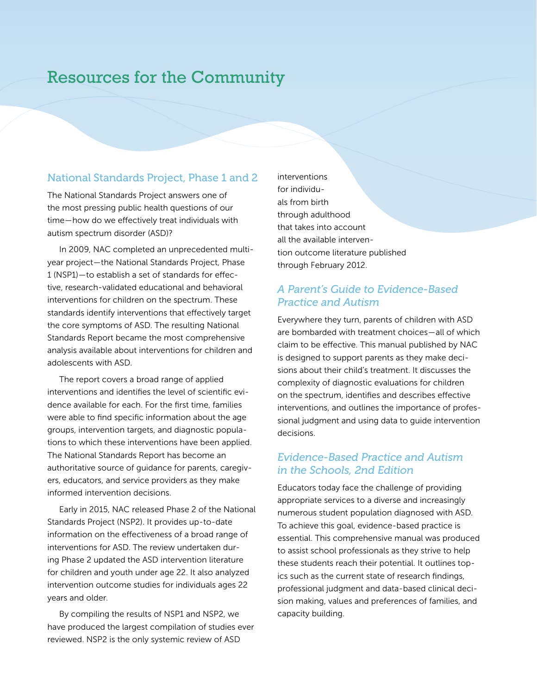### Resources for the Community

#### National Standards Project, Phase 1 and 2

The National Standards Project answers one of the most pressing public health questions of our time — how do we effectively treat individuals with autism spectrum disorder (ASD)?

In 2009, NAC completed an unprecedented multiyear project — the National Standards Project, Phase 1 (NSP1) — to establish a set of standards for effective, research-validated educational and behavioral interventions for children on the spectrum. These standards identify interventions that effectively target the core symptoms of ASD. The resulting National Standards Report became the most comprehensive analysis available about interventions for children and adolescents with ASD.

The report covers a broad range of applied interventions and identifies the level of scientific evidence available for each. For the first time, families were able to find specific information about the age groups, intervention targets, and diagnostic populations to which these interventions have been applied. The National Standards Report has become an authoritative source of guidance for parents, caregivers, educators, and service providers as they make informed intervention decisions.

Early in 2015, NAC released Phase 2 of the National Standards Project (NSP2). It provides up-to-date information on the effectiveness of a broad range of interventions for ASD. The review undertaken during Phase 2 updated the ASD intervention literature for children and youth under age 22. It also analyzed intervention outcome studies for individuals ages 22 years and older.

By compiling the results of NSP1 and NSP2, we have produced the largest compilation of studies ever reviewed. NSP2 is the only systemic review of ASD

interventions for individuals from birth through adulthood that takes into account all the available intervention outcome literature published through February 2012.

#### *A Parent's Guide to Evidence-Based Practice and Autism*

Everywhere they turn, parents of children with ASD are bombarded with treatment choices — all of which claim to be effective. This manual published by NAC is designed to support parents as they make decisions about their child's treatment. It discusses the complexity of diagnostic evaluations for children on the spectrum, identifies and describes effective interventions, and outlines the importance of professional judgment and using data to guide intervention decisions.

#### *Evidence-Based Practice and Autism in the Schools, 2nd Edition*

Educators today face the challenge of providing appropriate services to a diverse and increasingly numerous student population diagnosed with ASD. To achieve this goal, evidence-based practice is essential. This comprehensive manual was produced to assist school professionals as they strive to help these students reach their potential. It outlines topics such as the current state of research findings, professional judgment and data-based clinical decision making, values and preferences of families, and capacity building.